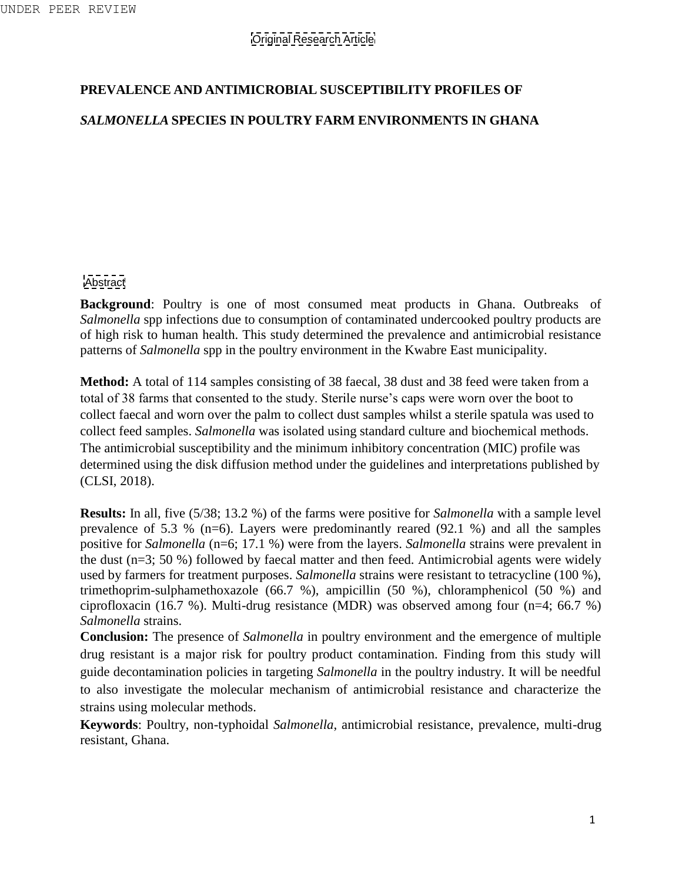# **PREVALENCE AND ANTIMICROBIAL SUSCEPTIBILITY PROFILES OF** *SALMONELLA* **SPECIES IN POULTRY FARM ENVIRONMENTS IN GHANA**

# **Abstract**

**Background**: Poultry is one of most consumed meat products in Ghana. Outbreaks of *Salmonella* spp infections due to consumption of contaminated undercooked poultry products are of high risk to human health. This study determined the prevalence and antimicrobial resistance patterns of *Salmonella* spp in the poultry environment in the Kwabre East municipality.

**Method:** A total of 114 samples consisting of 38 faecal, 38 dust and 38 feed were taken from a total of 38 farms that consented to the study. Sterile nurse's caps were worn over the boot to collect faecal and worn over the palm to collect dust samples whilst a sterile spatula was used to collect feed samples. *Salmonella* was isolated using standard culture and biochemical methods. The antimicrobial susceptibility and the minimum inhibitory concentration (MIC) profile was determined using the disk diffusion method under the guidelines and interpretations published by (CLSI, 2018).

**Results:** In all, five (5/38; 13.2 %) of the farms were positive for *Salmonella* with a sample level prevalence of 5.3 % (n=6). Layers were predominantly reared (92.1 %) and all the samples positive for *Salmonella* (n=6; 17.1 %) were from the layers. *Salmonella* strains were prevalent in the dust (n=3; 50 %) followed by faecal matter and then feed. Antimicrobial agents were widely used by farmers for treatment purposes. *Salmonella* strains were resistant to tetracycline (100 %), trimethoprim-sulphamethoxazole (66.7 %), ampicillin (50 %), chloramphenicol (50 %) and ciprofloxacin (16.7 %). Multi-drug resistance (MDR) was observed among four (n=4; 66.7 %) *Salmonella* strains.

**Conclusion:** The presence of *Salmonella* in poultry environment and the emergence of multiple drug resistant is a major risk for poultry product contamination. Finding from this study will guide decontamination policies in targeting *Salmonella* in the poultry industry. It will be needful to also investigate the molecular mechanism of antimicrobial resistance and characterize the strains using molecular methods.

**Keywords**: Poultry, non-typhoidal *Salmonella*, antimicrobial resistance, prevalence, multi-drug resistant, Ghana.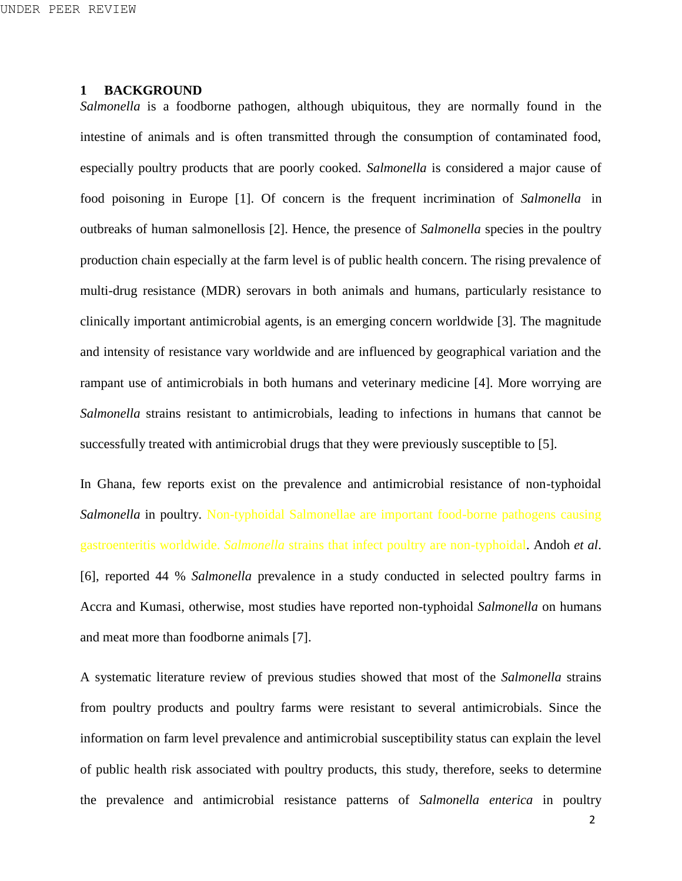### **1 BACKGROUND**

*Salmonella* is a foodborne pathogen, although ubiquitous, they are normally found in the intestine of animals and is often transmitted through the consumption of contaminated food, especially poultry products that are poorly cooked. *Salmonella* is considered a major cause of food poisoning in Europe [1]. Of concern is the frequent incrimination of *Salmonella* in outbreaks of human salmonellosis [2]. Hence, the presence of *Salmonella* species in the poultry production chain especially at the farm level is of public health concern. The rising prevalence of multi-drug resistance (MDR) serovars in both animals and humans, particularly resistance to clinically important antimicrobial agents, is an emerging concern worldwide [3]. The magnitude and intensity of resistance vary worldwide and are influenced by geographical variation and the rampant use of antimicrobials in both humans and veterinary medicine [4]. More worrying are *Salmonella* strains resistant to antimicrobials, leading to infections in humans that cannot be successfully treated with antimicrobial drugs that they were previously susceptible to [5].

In Ghana, few reports exist on the prevalence and antimicrobial resistance of non-typhoidal *Salmonella* in poultry. Non-typhoidal Salmonellae are important food-borne pathogens causing gastroenteritis worldwide. *Salmonella* strains that infect poultry are non-typhoidal. Andoh *et al*. [6], reported 44 % *Salmonella* prevalence in a study conducted in selected poultry farms in Accra and Kumasi, otherwise, most studies have reported non-typhoidal *Salmonella* on humans and meat more than foodborne animals [7].

A systematic literature review of previous studies showed that most of the *Salmonella* strains from poultry products and poultry farms were resistant to several antimicrobials. Since the information on farm level prevalence and antimicrobial susceptibility status can explain the level of public health risk associated with poultry products, this study, therefore, seeks to determine the prevalence and antimicrobial resistance patterns of *Salmonella enterica* in poultry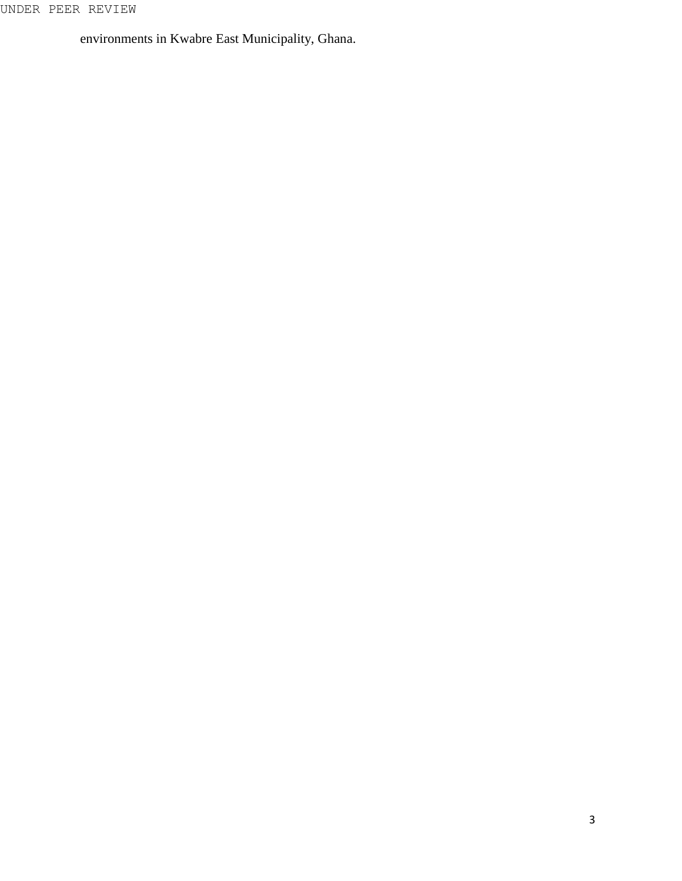environments in Kwabre East Municipality, Ghana.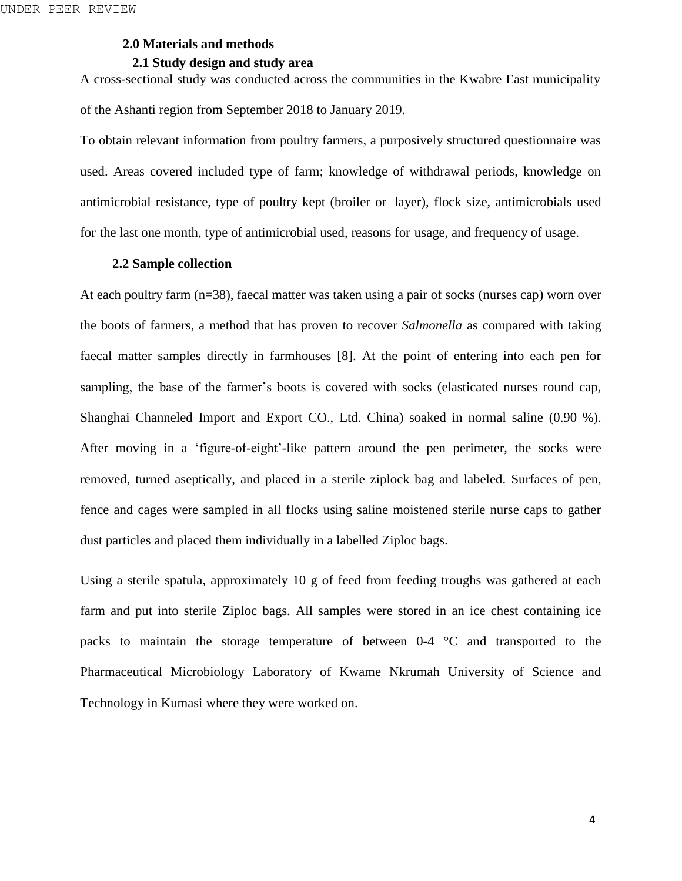### **2.0 Materials and methods**

### **2.1 Study design and study area**

A cross-sectional study was conducted across the communities in the Kwabre East municipality of the Ashanti region from September 2018 to January 2019.

To obtain relevant information from poultry farmers, a purposively structured questionnaire was used. Areas covered included type of farm; knowledge of withdrawal periods, knowledge on antimicrobial resistance, type of poultry kept (broiler or layer), flock size, antimicrobials used for the last one month, type of antimicrobial used, reasons for usage, and frequency of usage.

### **2.2 Sample collection**

At each poultry farm (n=38), faecal matter was taken using a pair of socks (nurses cap) worn over the boots of farmers, a method that has proven to recover *Salmonella* as compared with taking faecal matter samples directly in farmhouses [8]. At the point of entering into each pen for sampling, the base of the farmer's boots is covered with socks (elasticated nurses round cap, Shanghai Channeled Import and Export CO., Ltd. China) soaked in normal saline (0.90 %). After moving in a 'figure-of-eight'-like pattern around the pen perimeter, the socks were removed, turned aseptically, and placed in a sterile ziplock bag and labeled. Surfaces of pen, fence and cages were sampled in all flocks using saline moistened sterile nurse caps to gather dust particles and placed them individually in a labelled Ziploc bags.

Using a sterile spatula, approximately 10 g of feed from feeding troughs was gathered at each farm and put into sterile Ziploc bags. All samples were stored in an ice chest containing ice packs to maintain the storage temperature of between 0-4 °C and transported to the Pharmaceutical Microbiology Laboratory of Kwame Nkrumah University of Science and Technology in Kumasi where they were worked on.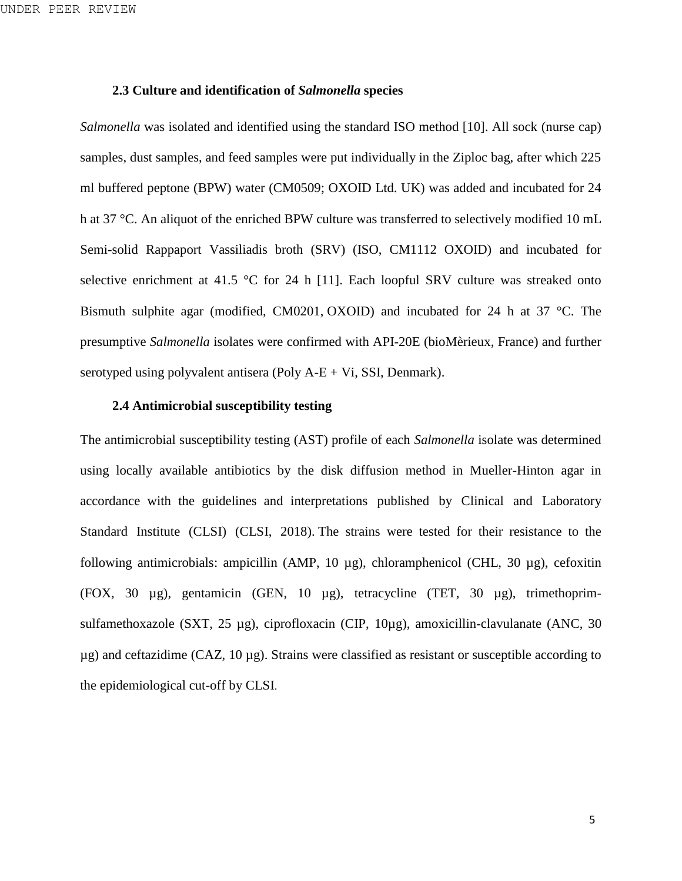#### **2.3 Culture and identification of** *Salmonella* **species**

*Salmonella* was isolated and identified using the standard ISO method [10]. All sock (nurse cap) samples, dust samples, and feed samples were put individually in the Ziploc bag, after which 225 ml buffered peptone (BPW) water (CM0509; OXOID Ltd. UK) was added and incubated for 24 h at 37 °C. An aliquot of the enriched BPW culture was transferred to selectively modified 10 mL Semi-solid Rappaport Vassiliadis broth (SRV) (ISO, CM1112 OXOID) and incubated for selective enrichment at 41.5  $\degree$ C for 24 h [11]. Each loopful SRV culture was streaked onto Bismuth sulphite agar (modified, CM0201, OXOID) and incubated for 24 h at 37 °C. The presumptive *Salmonella* isolates were confirmed with API-20E (bioMèrieux, France) and further serotyped using polyvalent antisera (Poly A-E + Vi, SSI, Denmark).

### **2.4 Antimicrobial susceptibility testing**

The antimicrobial susceptibility testing (AST) profile of each *Salmonella* isolate was determined using locally available antibiotics by the disk diffusion method in Mueller-Hinton agar in accordance with the guidelines and interpretations published by Clinical and Laboratory Standard Institute (CLSI) (CLSI, 2018). The strains were tested for their resistance to the following antimicrobials: ampicillin (AMP, 10 µg), chloramphenicol (CHL, 30 µg), cefoxitin (FOX, 30 µg), gentamicin (GEN, 10 µg), tetracycline (TET, 30 µg), trimethoprimsulfamethoxazole (SXT, 25 µg), ciprofloxacin (CIP, 10µg), amoxicillin-clavulanate (ANC, 30 µg) and ceftazidime (CAZ, 10 µg). Strains were classified as resistant or susceptible according to the epidemiological cut-off by CLSI.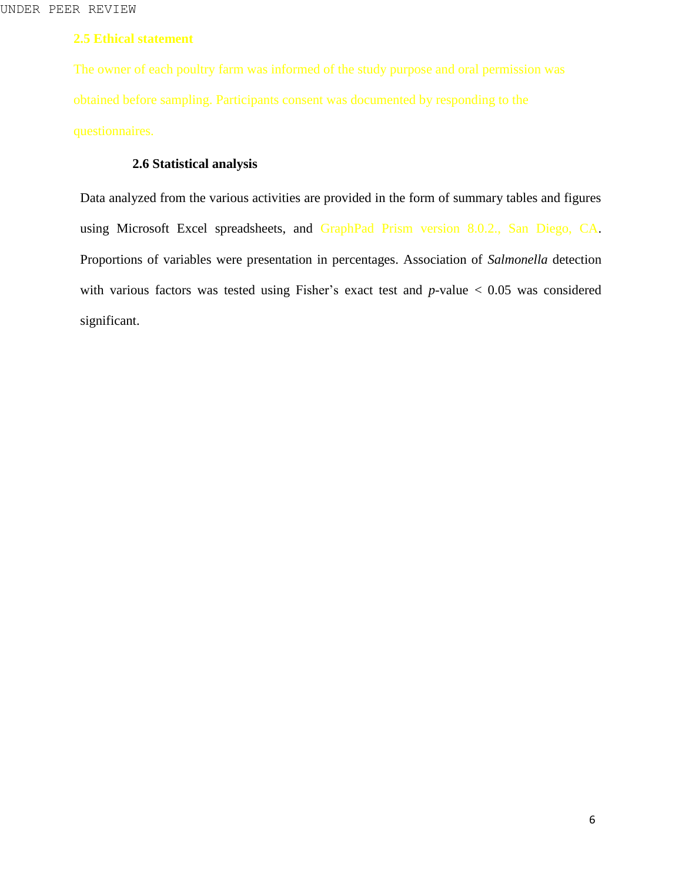## **2.5 Ethical statement**

The owner of each poultry farm was informed of the study purpose and oral permission was obtained before sampling. Participants consent was documented by responding to the

# **2.6 Statistical analysis**

Data analyzed from the various activities are provided in the form of summary tables and figures using Microsoft Excel spreadsheets, and GraphPad Prism version 8.0.2., San Diego, CA. Proportions of variables were presentation in percentages. Association of *Salmonella* detection with various factors was tested using Fisher's exact test and *p*-value < 0.05 was considered significant.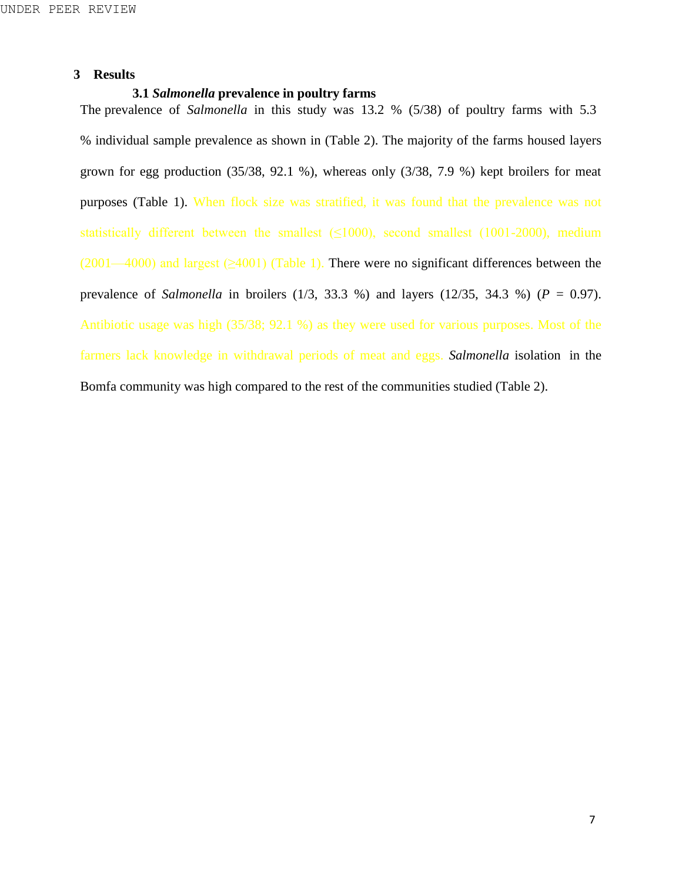### **3 Results**

### **3.1** *Salmonella* **prevalence in poultry farms**

The prevalence of *Salmonella* in this study was 13.2 % (5/38) of poultry farms with 5.3 % individual sample prevalence as shown in (Table 2). The majority of the farms housed layers grown for egg production (35/38, 92.1 %), whereas only (3/38, 7.9 %) kept broilers for meat purposes (Table 1). When flock size was stratified, it was found that the prevalence was not statistically different between the smallest  $(\leq 1000)$ , second smallest  $(1001-2000)$ , medium  $(2001-4000)$  and largest ( $\geq 4001$ ) (Table 1). There were no significant differences between the prevalence of *Salmonella* in broilers  $(1/3, 33.3 %)$  and layers  $(12/35, 34.3 %)$  ( $P = 0.97$ ). Antibiotic usage was high (35/38; 92.1 %) as they were used for various purposes. Most of the farmers lack knowledge in withdrawal periods of meat and eggs. *Salmonella* isolation in the Bomfa community was high compared to the rest of the communities studied (Table 2).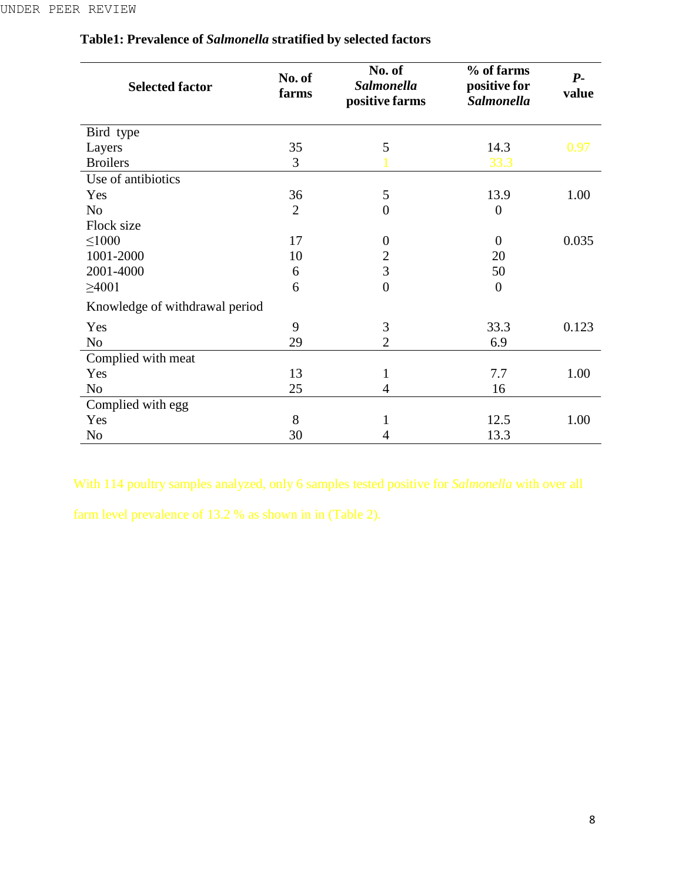| <b>Selected factor</b>         | No. of<br>farms | No. of<br><b>Salmonella</b><br>positive farms | % of farms<br>positive for<br><b>Salmonella</b> | $P-$<br>value |
|--------------------------------|-----------------|-----------------------------------------------|-------------------------------------------------|---------------|
| Bird type                      |                 |                                               |                                                 |               |
| Layers                         | 35              | 5                                             | 14.3                                            | 0.97          |
| <b>Broilers</b>                | 3               |                                               | 33.3                                            |               |
| Use of antibiotics             |                 |                                               |                                                 |               |
| Yes                            | 36              | 5                                             | 13.9                                            | 1.00          |
| N <sub>o</sub>                 | $\overline{2}$  | $\overline{0}$                                | $\overline{0}$                                  |               |
| Flock size                     |                 |                                               |                                                 |               |
| $\leq 1000$                    | 17              | $\overline{0}$                                | $\Omega$                                        | 0.035         |
| 1001-2000                      | 10              | $\overline{c}$                                | 20                                              |               |
| 2001-4000                      | 6               | $\overline{3}$                                | 50                                              |               |
| $\geq 4001$                    | 6               | $\boldsymbol{0}$                              | $\theta$                                        |               |
| Knowledge of withdrawal period |                 |                                               |                                                 |               |
| Yes                            | 9               | 3                                             | 33.3                                            | 0.123         |
| N <sub>o</sub>                 | 29              | $\overline{2}$                                | 6.9                                             |               |
| Complied with meat             |                 |                                               |                                                 |               |
| Yes                            | 13              | 1                                             | 7.7                                             | 1.00          |
| N <sub>o</sub>                 | 25              | 4                                             | 16                                              |               |
| Complied with egg              |                 |                                               |                                                 |               |
| Yes                            | 8               | 1                                             | 12.5                                            | 1.00          |
| N <sub>o</sub>                 | 30              | 4                                             | 13.3                                            |               |

# **Table1: Prevalence of** *Salmonella* **stratified by selected factors**

With 114 poultry samples analyzed, only 6 samples tested positive for *Salmonella* with over all

farm level prevalence of 13.2 % as shown in in (Table 2).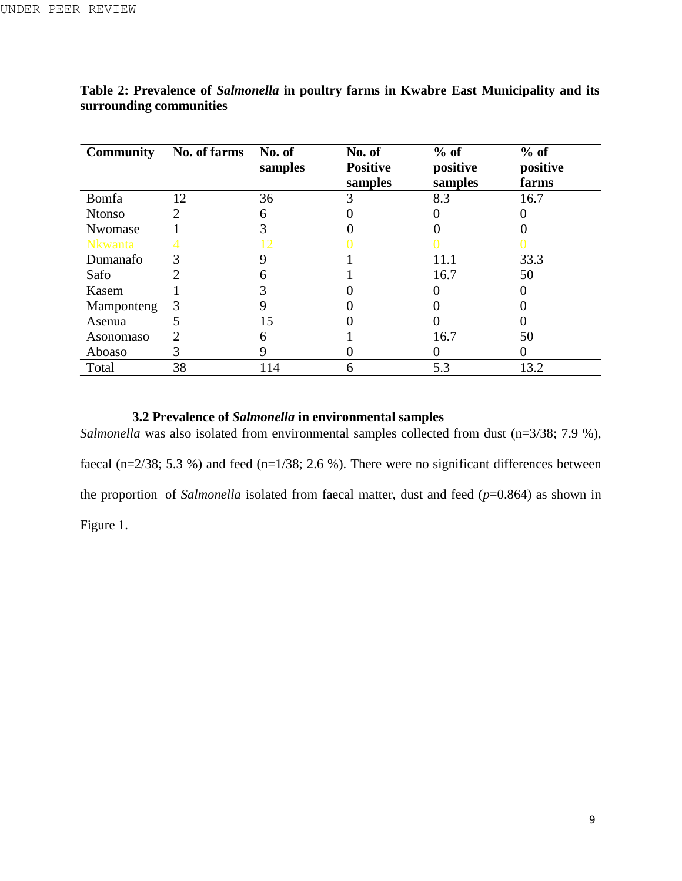| <b>Community</b> | No. of farms | No. of<br>samples | No. of<br><b>Positive</b><br>samples | $%$ of<br>positive<br>samples | $%$ of<br>positive<br>farms |
|------------------|--------------|-------------------|--------------------------------------|-------------------------------|-----------------------------|
| Bomfa            | 12           | 36                | 3                                    | 8.3                           | 16.7                        |
| <b>Ntonso</b>    | 2.           | 6                 |                                      |                               |                             |
| Nwomase          |              | 3                 |                                      |                               |                             |
| <b>Nkwanta</b>   |              |                   |                                      |                               |                             |
| Dumanafo         | 3            |                   |                                      | 11.1                          | 33.3                        |
| Safo             |              | 6                 |                                      | 16.7                          | 50                          |
| Kasem            |              |                   |                                      |                               |                             |
| Mamponteng       | 3            |                   |                                      |                               |                             |
| Asenua           |              | 15                |                                      |                               |                             |
| Asonomaso        |              | 6                 |                                      | 16.7                          | 50                          |
| Aboaso           | 3            |                   |                                      |                               |                             |
| Total            | 38           | 114               | 6                                    | 5.3                           | 13.2                        |

**Table 2: Prevalence of** *Salmonella* **in poultry farms in Kwabre East Municipality and its surrounding communities**

### **3.2 Prevalence of** *Salmonella* **in environmental samples**

*Salmonella* was also isolated from environmental samples collected from dust (n=3/38; 7.9 %), faecal (n= $2/38$ ; 5.3 %) and feed (n= $1/38$ ; 2.6 %). There were no significant differences between the proportion of *Salmonella* isolated from faecal matter, dust and feed  $(p=0.864)$  as shown in Figure 1.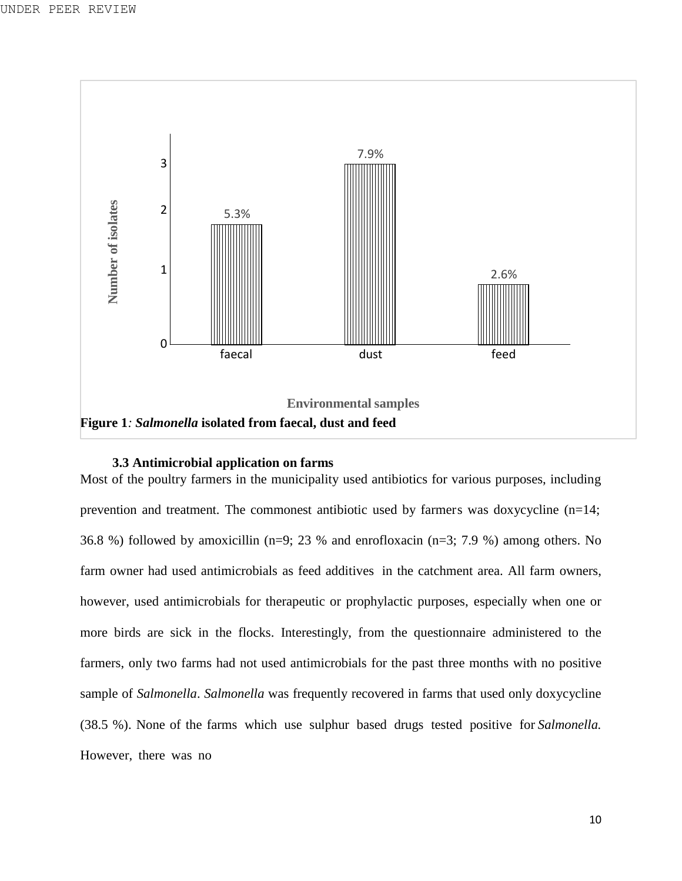

### **3.3 Antimicrobial application on farms**

Most of the poultry farmers in the municipality used antibiotics for various purposes, including prevention and treatment. The commonest antibiotic used by farmers was doxycycline (n=14; 36.8 %) followed by amoxicillin (n=9; 23 % and enrofloxacin (n=3; 7.9 %) among others. No farm owner had used antimicrobials as feed additives in the catchment area. All farm owners, however, used antimicrobials for therapeutic or prophylactic purposes, especially when one or more birds are sick in the flocks. Interestingly, from the questionnaire administered to the farmers, only two farms had not used antimicrobials for the past three months with no positive sample of *Salmonella*. *Salmonella* was frequently recovered in farms that used only doxycycline (38.5 %). None of the farms which use sulphur based drugs tested positive for *Salmonella.* However, there was no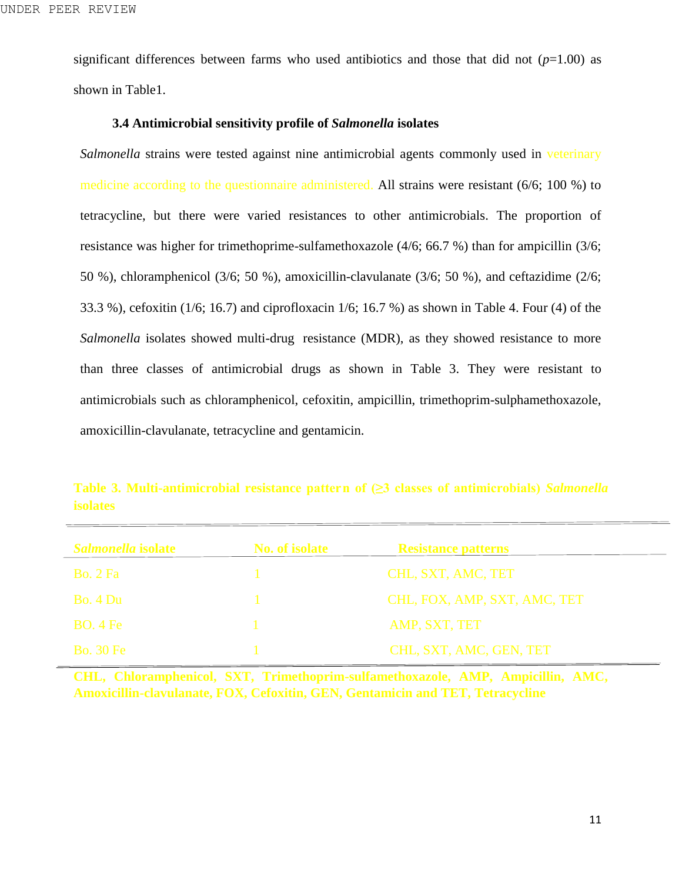significant differences between farms who used antibiotics and those that did not  $(p=1.00)$  as shown in Table1.

### **3.4 Antimicrobial sensitivity profile of** *Salmonella* **isolates**

*Salmonella* strains were tested against nine antimicrobial agents commonly used in veterinary medicine according to the questionnaire administered. All strains were resistant (6/6; 100 %) to tetracycline, but there were varied resistances to other antimicrobials. The proportion of resistance was higher for trimethoprime-sulfamethoxazole (4/6; 66.7 %) than for ampicillin (3/6; 50 %), chloramphenicol (3/6; 50 %), amoxicillin-clavulanate (3/6; 50 %), and ceftazidime (2/6; 33.3 %), cefoxitin (1/6; 16.7) and ciprofloxacin 1/6; 16.7 %) as shown in Table 4. Four (4) of the *Salmonella* isolates showed multi-drug resistance (MDR), as they showed resistance to more than three classes of antimicrobial drugs as shown in Table 3. They were resistant to antimicrobials such as chloramphenicol, cefoxitin, ampicillin, trimethoprim-sulphamethoxazole, amoxicillin-clavulanate, tetracycline and gentamicin.

**Table 3. Multi-antimicrobial resistance patter n of (≥3 classes of antimicrobials)** *Salmonella* **isolates**

| Salmonella isolate | <b>No. of isolate</b> | <b>Resistance patterns</b>   |
|--------------------|-----------------------|------------------------------|
| <b>Bo. 2 Fa</b>    |                       | CHL, SXT, AMC, TET           |
| Bo. 4 Du           |                       | CHL, FOX, AMP, SXT, AMC, TET |
| BO.4 Fe            |                       | AMP, SXT, TET                |
| <b>Bo. 30 Fe</b>   |                       | CHL, SXT, AMC, GEN, TET      |

**CHL, Chloramphenicol, SXT, Trimethoprim-sulfamethoxazole, AMP, Ampicillin, AMC, Amoxicillin-clavulanate, FOX, Cefoxitin, GEN, Gentamicin and TET, Tetracycline**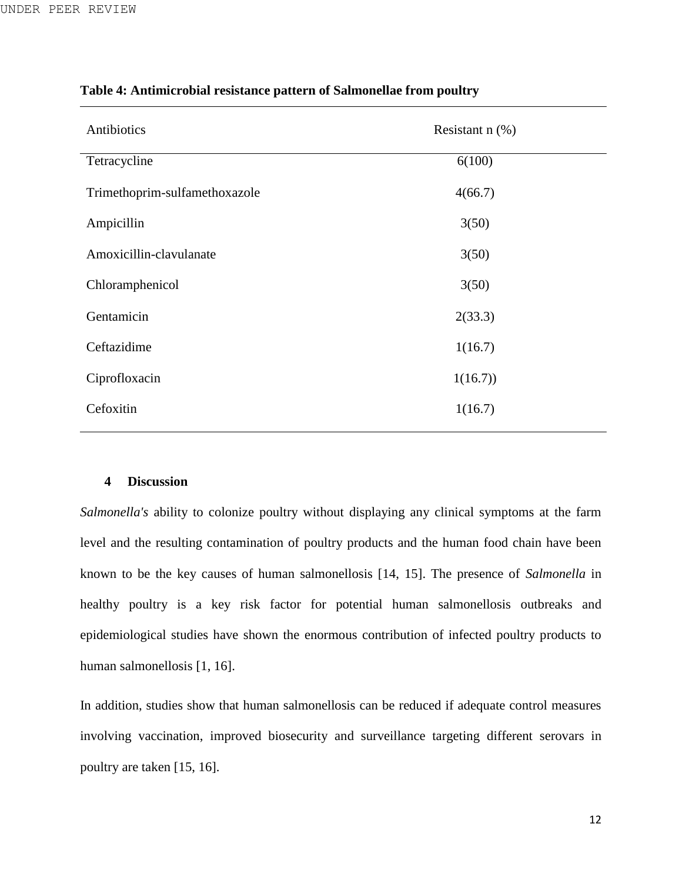| Antibiotics                   | Resistant $n$ (%) |
|-------------------------------|-------------------|
| Tetracycline                  | 6(100)            |
| Trimethoprim-sulfamethoxazole | 4(66.7)           |
| Ampicillin                    | 3(50)             |
| Amoxicillin-clavulanate       | 3(50)             |
| Chloramphenicol               | 3(50)             |
| Gentamicin                    | 2(33.3)           |
| Ceftazidime                   | 1(16.7)           |
| Ciprofloxacin                 | 1(16.7)           |
| Cefoxitin                     | 1(16.7)           |

### **Table 4: Antimicrobial resistance pattern of Salmonellae from poultry**

### **4 Discussion**

*Salmonella's* ability to colonize poultry without displaying any clinical symptoms at the farm level and the resulting contamination of poultry products and the human food chain have been known to be the key causes of human salmonellosis [14, 15]. The presence of *Salmonella* in healthy poultry is a key risk factor for potential human salmonellosis outbreaks and epidemiological studies have shown the enormous contribution of infected poultry products to human salmonellosis [1, 16].

In addition, studies show that human salmonellosis can be reduced if adequate control measures involving vaccination, improved biosecurity and surveillance targeting different serovars in poultry are taken [15, 16].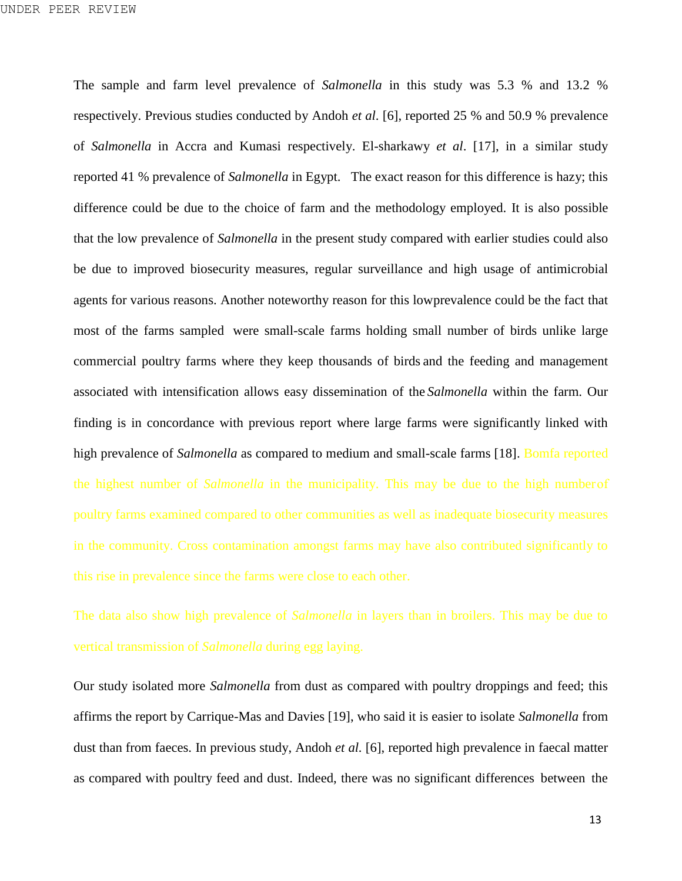The sample and farm level prevalence of *Salmonella* in this study was 5.3 % and 13.2 % respectively. Previous studies conducted by Andoh *et al*. [6], reported 25 % and 50.9 % prevalence of *Salmonella* in Accra and Kumasi respectively. El-sharkawy *et al*. [17], in a similar study reported 41 % prevalence of *Salmonella* in Egypt. The exact reason for this difference is hazy; this difference could be due to the choice of farm and the methodology employed. It is also possible that the low prevalence of *Salmonella* in the present study compared with earlier studies could also be due to improved biosecurity measures, regular surveillance and high usage of antimicrobial agents for various reasons. Another noteworthy reason for this lowprevalence could be the fact that most of the farms sampled were small-scale farms holding small number of birds unlike large commercial poultry farms where they keep thousands of birds and the feeding and management associated with intensification allows easy dissemination of the *Salmonella* within the farm. Our finding is in concordance with previous report where large farms were significantly linked with high prevalence of *Salmonella* as compared to medium and small-scale farms [18]. Bomfa reported the highest number of *Salmonella* in the municipality. This may be due to the high number of poultry farms examined compared to other communities as well as inadequate biosecurity measures in the community. Cross contamination amongst farms may have also contributed significantly to this rise in prevalence since the farms were close to each other.

The data also show high prevalence of *Salmonella* in layers than in broilers. This may be due to vertical transmission of *Salmonella* during egg laying.

Our study isolated more *Salmonella* from dust as compared with poultry droppings and feed; this affirms the report by Carrique-Mas and Davies [19], who said it is easier to isolate *Salmonella* from dust than from faeces. In previous study, Andoh *et al.* [6], reported high prevalence in faecal matter as compared with poultry feed and dust. Indeed, there was no significant differences between the

13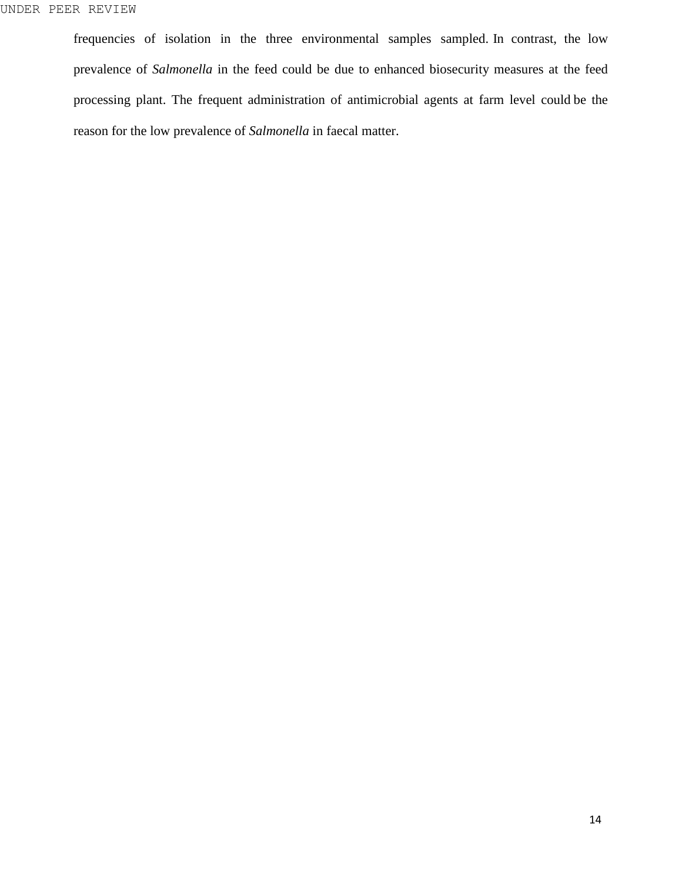frequencies of isolation in the three environmental samples sampled. In contrast, the low prevalence of *Salmonella* in the feed could be due to enhanced biosecurity measures at the feed processing plant. The frequent administration of antimicrobial agents at farm level could be the reason for the low prevalence of *Salmonella* in faecal matter.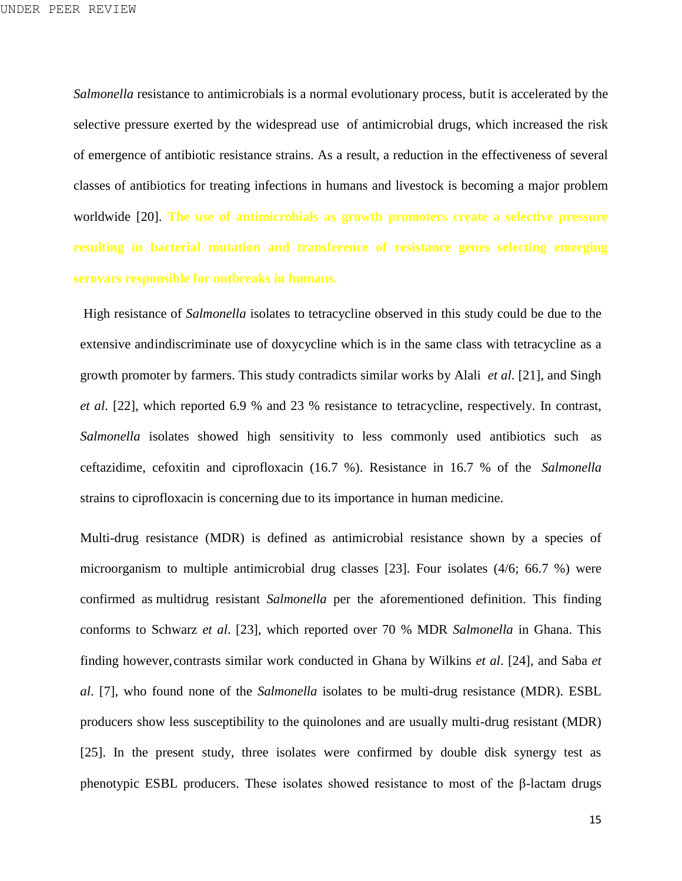*Salmonella* resistance to antimicrobials is a normal evolutionary process, butit is accelerated by the selective pressure exerted by the widespread use of antimicrobial drugs, which increased the risk of emergence of antibiotic resistance strains. As a result, a reduction in the effectiveness of several classes of antibiotics for treating infections in humans and livestock is becoming a major problem worldwide [20]. **The use of antimicrobials as growth promoters create a selective pressure resulting in bacterial mutation and transference of resistance genes selecting emerging serovars responsible for outbreaks in humans.**

High resistance of *Salmonella* isolates to tetracycline observed in this study could be due to the extensive andindiscriminate use of doxycycline which is in the same class with tetracycline as a growth promoter by farmers. This study contradicts similar works by Alali *et al*. [21], and Singh *et al*. [22], which reported 6.9 % and 23 % resistance to tetracycline, respectively. In contrast, *Salmonella* isolates showed high sensitivity to less commonly used antibiotics such as ceftazidime, cefoxitin and ciprofloxacin (16.7 %). Resistance in 16.7 % of the *Salmonella* strains to ciprofloxacin is concerning due to its importance in human medicine.

Multi-drug resistance (MDR) is defined as antimicrobial resistance shown by a species of microorganism to multiple antimicrobial drug classes [23]. Four isolates (4/6; 66.7 %) were confirmed as multidrug resistant *Salmonella* per the aforementioned definition. This finding conforms to Schwarz *et al*. [23], which reported over 70 % MDR *Salmonella* in Ghana. This finding however,contrasts similar work conducted in Ghana by Wilkins *et al*. [24], and Saba *et al*. [7], who found none of the *Salmonella* isolates to be multi-drug resistance (MDR). ESBL producers show less susceptibility to the quinolones and are usually multi-drug resistant (MDR) [25]. In the present study, three isolates were confirmed by double disk synergy test as phenotypic ESBL producers. These isolates showed resistance to most of the β-lactam drugs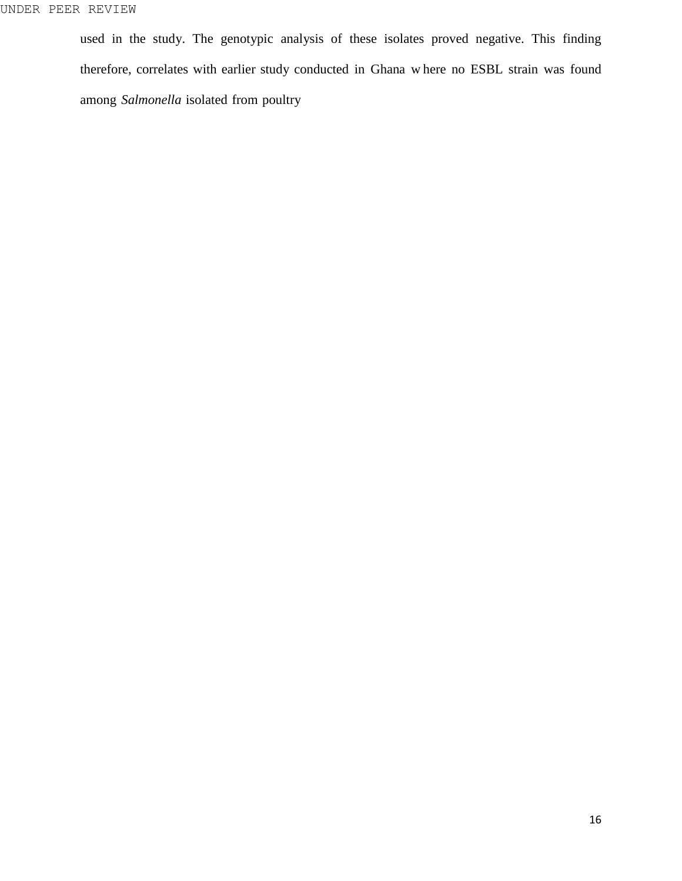used in the study. The genotypic analysis of these isolates proved negative. This finding therefore, correlates with earlier study conducted in Ghana w here no ESBL strain was found among *Salmonella* isolated from poultry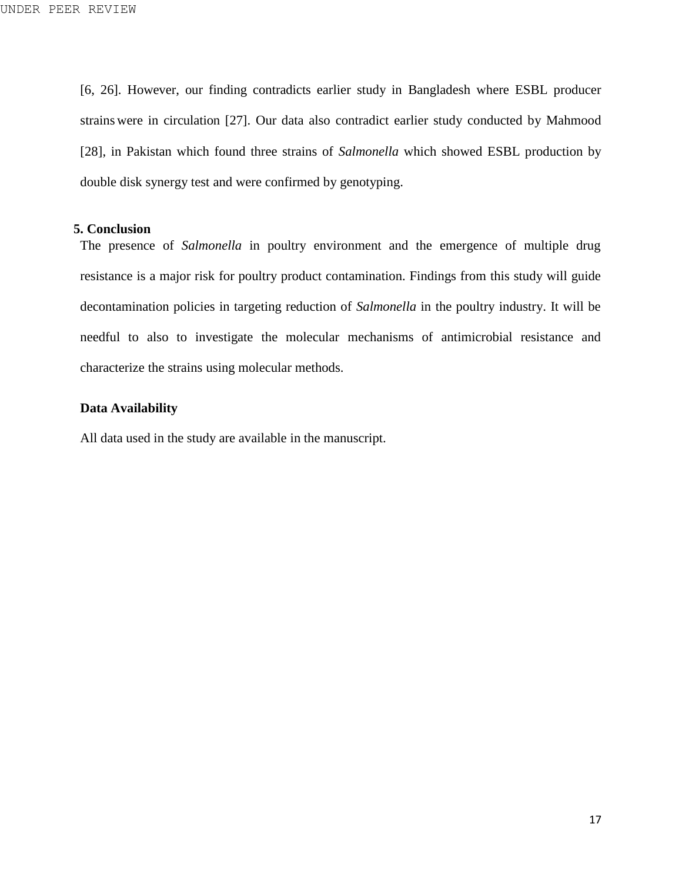[6, 26]. However, our finding contradicts earlier study in Bangladesh where ESBL producer strains were in circulation [27]. Our data also contradict earlier study conducted by Mahmood [28], in Pakistan which found three strains of *Salmonella* which showed ESBL production by double disk synergy test and were confirmed by genotyping.

### **5. Conclusion**

The presence of *Salmonella* in poultry environment and the emergence of multiple drug resistance is a major risk for poultry product contamination. Findings from this study will guide decontamination policies in targeting reduction of *Salmonella* in the poultry industry. It will be needful to also to investigate the molecular mechanisms of antimicrobial resistance and characterize the strains using molecular methods.

### **Data Availability**

All data used in the study are available in the manuscript.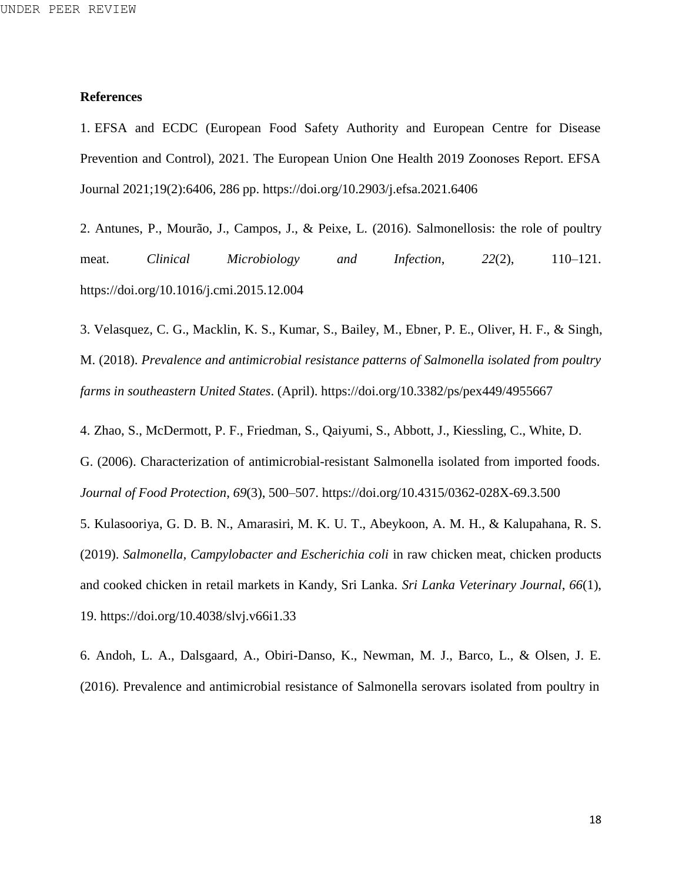### **References**

1. EFSA and ECDC (European Food Safety Authority and European Centre for Disease Prevention and Control), 2021. The European Union One Health 2019 Zoonoses Report. EFSA Journal 2021;19(2):6406, 286 pp. <https://doi.org/10.2903/j.efsa.2021.6406>

2. Antunes, P., Mourão, J., Campos, J., & Peixe, L. (2016). Salmonellosis: the role of poultry meat. *Clinical Microbiology and Infection*, *22*(2), 110–121. <https://doi.org/10.1016/j.cmi.2015.12.004>

3. Velasquez, C. G., Macklin, K. S., Kumar, S., Bailey, M., Ebner, P. E., Oliver, H. F., & Singh, M. (2018). *Prevalence and antimicrobial resistance patterns of Salmonella isolated from poultry farms in southeastern United States*. (April). <https://doi.org/10.3382/ps/pex449/4955667>

4. Zhao, S., McDermott, P. F., Friedman, S., Qaiyumi, S., Abbott, J., Kiessling, C., White, D. G. (2006). Characterization of antimicrobial-resistant Salmonella isolated from imported foods. *Journal of Food Protection*, *69*(3), 500–507. <https://doi.org/10.4315/0362-028X-69.3.500>

5. Kulasooriya, G. D. B. N., Amarasiri, M. K. U. T., Abeykoon, A. M. H., & Kalupahana, R. S. (2019). *Salmonella, Campylobacter and Escherichia coli* in raw chicken meat, chicken products and cooked chicken in retail markets in Kandy, Sri Lanka. *Sri Lanka Veterinary Journal*, *66*(1), 19. https://doi.org/10.4038/slvj.v66i1.33

6. Andoh, L. A., Dalsgaard, A., Obiri-Danso, K., Newman, M. J., Barco, L., & Olsen, J. E. (2016). Prevalence and antimicrobial resistance of Salmonella serovars isolated from poultry in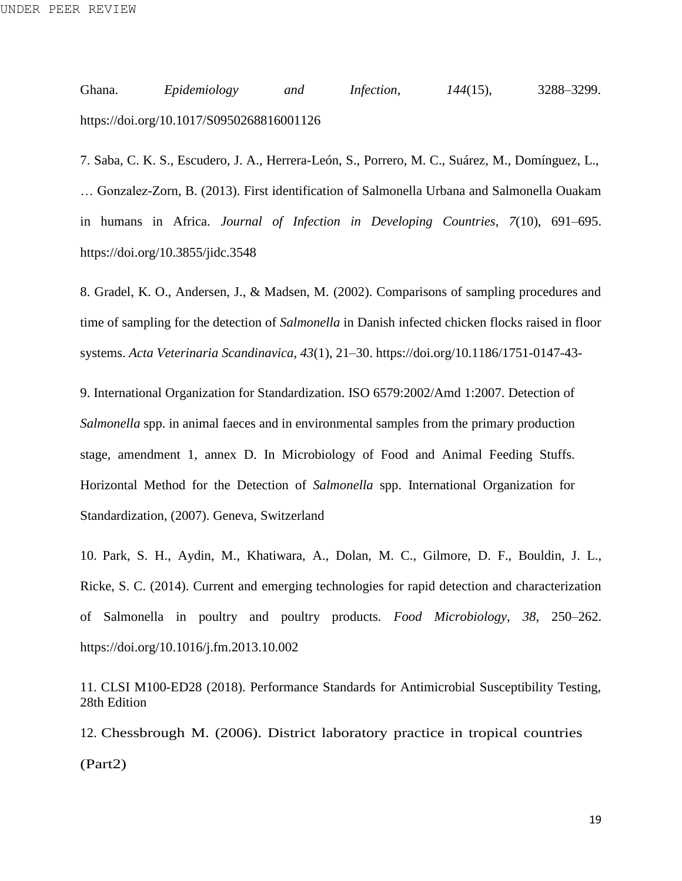Ghana. *Epidemiology and Infection*, *144*(15), 3288–3299. <https://doi.org/10.1017/S0950268816001126>

7. Saba, C. K. S., Escudero, J. A., Herrera-León, S., Porrero, M. C., Suárez, M., Domínguez, L., … Gonzalez-Zorn, B. (2013). First identification of Salmonella Urbana and Salmonella Ouakam in humans in Africa. *Journal of Infection in Developing Countries*, *7*(10), 691–695. https://doi.org/10.3855/jidc.3548

8. Gradel, K. O., Andersen, J., & Madsen, M. (2002). Comparisons of sampling procedures and time of sampling for the detection of *Salmonella* in Danish infected chicken flocks raised in floor systems. *Acta Veterinaria Scandinavica*, *43*(1), 21–30. https://doi.org/10.1186/1751-0147-43-

9. International Organization for Standardization. ISO 6579:2002/Amd 1:2007. Detection of *Salmonella* spp. in animal faeces and in environmental samples from the primary production stage, amendment 1, annex D. In Microbiology of Food and Animal Feeding Stuffs. Horizontal Method for the Detection of *Salmonella* spp. International Organization for Standardization, (2007). Geneva, Switzerland

10. Park, S. H., Aydin, M., Khatiwara, A., Dolan, M. C., Gilmore, D. F., Bouldin, J. L., Ricke, S. C. (2014). Current and emerging technologies for rapid detection and characterization of Salmonella in poultry and poultry products. *Food Microbiology*, *38*, 250–262. <https://doi.org/10.1016/j.fm.2013.10.002>

11. CLSI M100-ED28 (2018). Performance Standards for Antimicrobial Susceptibility Testing, 28th Edition

12. Chessbrough M. (2006). District laboratory practice in tropical countries (Part2)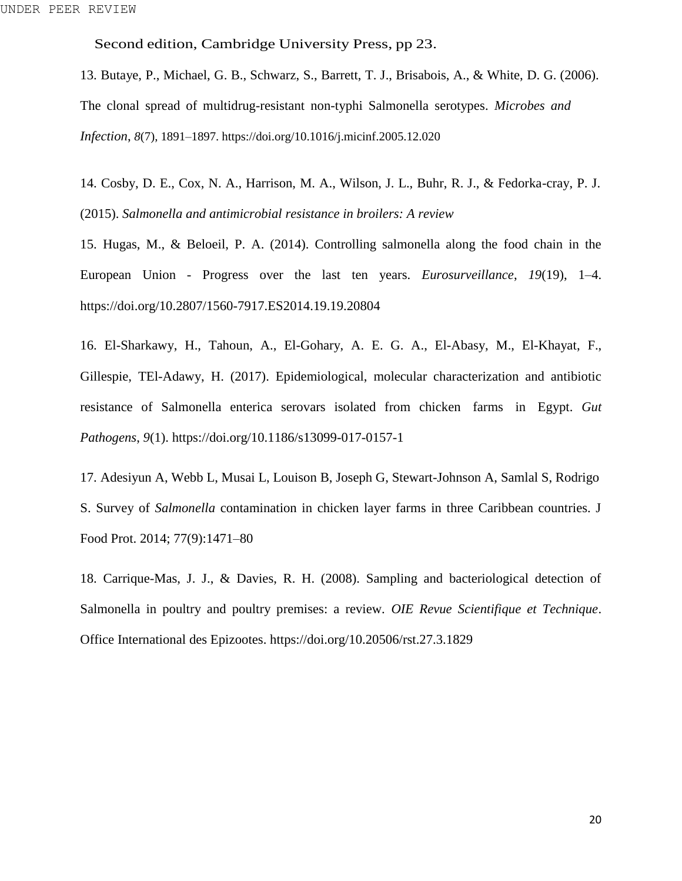Second edition, Cambridge University Press, pp 23.

13. Butaye, P., Michael, G. B., Schwarz, S., Barrett, T. J., Brisabois, A., & White, D. G. (2006). The clonal spread of multidrug-resistant non-typhi Salmonella serotypes. *Microbes and Infection*, *8*(7), 1891–1897. <https://doi.org/10.1016/j.micinf.2005.12.020>

14. Cosby, D. E., Cox, N. A., Harrison, M. A., Wilson, J. L., Buhr, R. J., & Fedorka-cray, P. J. (2015). *Salmonella and antimicrobial resistance in broilers: A review*

15. Hugas, M., & Beloeil, P. A. (2014). Controlling salmonella along the food chain in the European Union - Progress over the last ten years. *Eurosurveillance*, *19*(19), 1–4. <https://doi.org/10.2807/1560-7917.ES2014.19.19.20804>

16. El-Sharkawy, H., Tahoun, A., El-Gohary, A. E. G. A., El-Abasy, M., El-Khayat, F., Gillespie, TEl-Adawy, H. (2017). Epidemiological, molecular characterization and antibiotic resistance of Salmonella enterica serovars isolated from chicken farms in Egypt. *Gut Pathogens*, *9*(1).<https://doi.org/10.1186/s13099-017-0157-1>

17. Adesiyun A, Webb L, Musai L, Louison B, Joseph G, Stewart-Johnson A, Samlal S, Rodrigo S. Survey of *Salmonella* contamination in chicken layer farms in three Caribbean countries. J Food Prot. 2014; 77(9):1471–80

18. Carrique-Mas, J. J., & Davies, R. H. (2008). Sampling and bacteriological detection of Salmonella in poultry and poultry premises: a review. *OIE Revue Scientifique et Technique*. Office International des Epizootes.<https://doi.org/10.20506/rst.27.3.1829>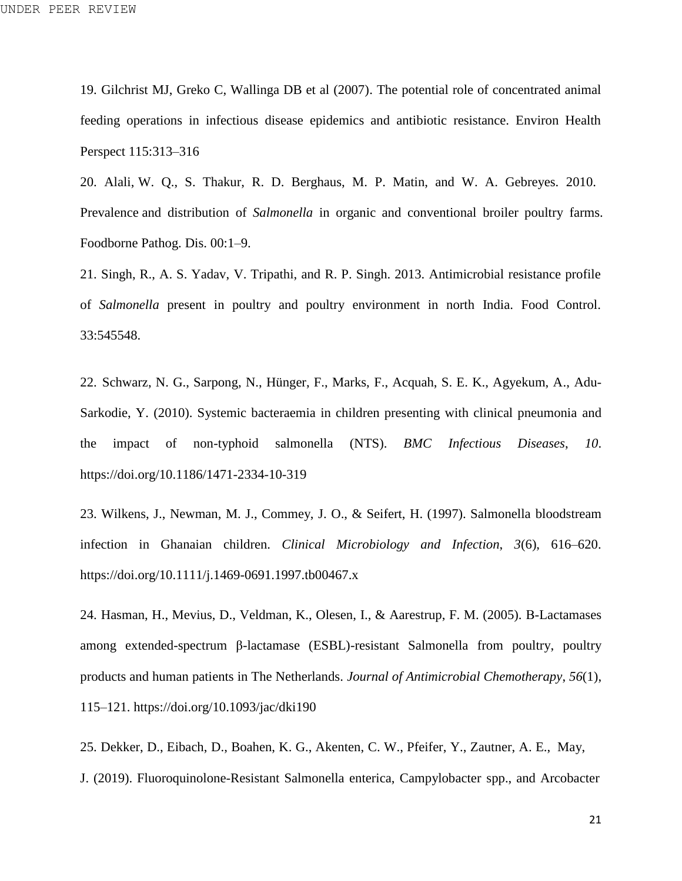19. Gilchrist MJ, Greko C, Wallinga DB et al (2007). The potential role of concentrated animal feeding operations in infectious disease epidemics and antibiotic resistance. Environ Health Perspect 115:313–316

20. Alali, W. Q., S. Thakur, R. D. Berghaus, M. P. Matin, and W. A. Gebreyes. 2010. Prevalence and distribution of *Salmonella* in organic and conventional broiler poultry farms. Foodborne Pathog. Dis. 00:1–9.

21. Singh, R., A. S. Yadav, V. Tripathi, and R. P. Singh. 2013. Antimicrobial resistance profile of *Salmonella* present in poultry and poultry environment in north India. Food Control. 33:545548.

22. Schwarz, N. G., Sarpong, N., Hünger, F., Marks, F., Acquah, S. E. K., Agyekum, A., Adu-Sarkodie, Y. (2010). Systemic bacteraemia in children presenting with clinical pneumonia and the impact of non-typhoid salmonella (NTS). *BMC Infectious Diseases*, *10*. <https://doi.org/10.1186/1471-2334-10-319>

23. Wilkens, J., Newman, M. J., Commey, J. O., & Seifert, H. (1997). Salmonella bloodstream infection in Ghanaian children. *Clinical Microbiology and Infection*, *3*(6), 616–620. https://doi.org/10.1111/j.1469-0691.1997.tb00467.x

24. Hasman, H., Mevius, D., Veldman, K., Olesen, I., & Aarestrup, F. M. (2005). Β-Lactamases among extended-spectrum β-lactamase (ESBL)-resistant Salmonella from poultry, poultry products and human patients in The Netherlands. *Journal of Antimicrobial Chemotherapy*, *56*(1), 115–121. https://doi.org/10.1093/jac/dki190

25. Dekker, D., Eibach, D., Boahen, K. G., Akenten, C. W., Pfeifer, Y., Zautner, A. E., May, J. (2019). Fluoroquinolone-Resistant Salmonella enterica, Campylobacter spp., and Arcobacter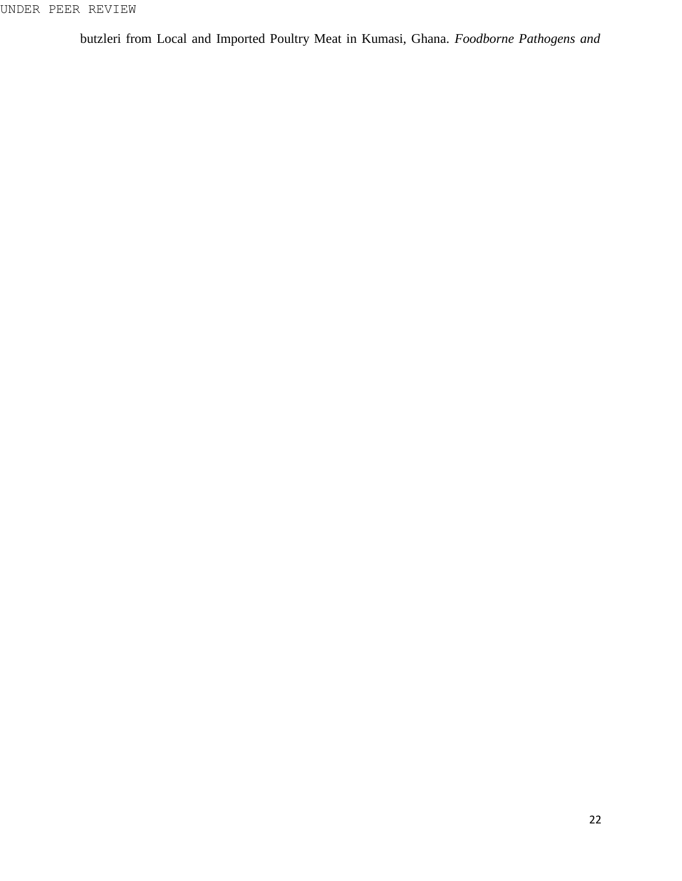butzleri from Local and Imported Poultry Meat in Kumasi, Ghana. *Foodborne Pathogens and*